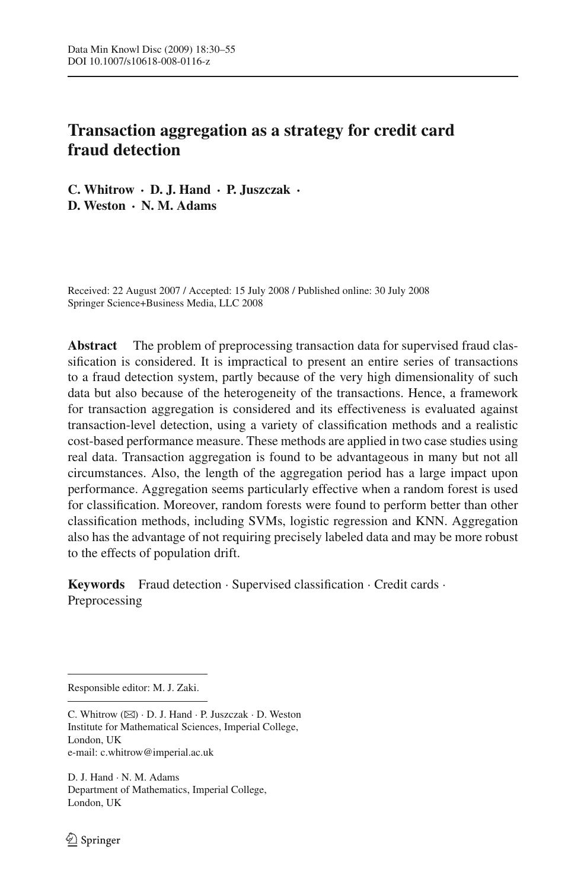# **Transaction aggregation as a strategy for credit card fraud detection**

**C. Whitrow · D. J. Hand · P. Juszczak · D. Weston · N. M. Adams**

Received: 22 August 2007 / Accepted: 15 July 2008 / Published online: 30 July 2008 Springer Science+Business Media, LLC 2008

**Abstract** The problem of preprocessing transaction data for supervised fraud classification is considered. It is impractical to present an entire series of transactions to a fraud detection system, partly because of the very high dimensionality of such data but also because of the heterogeneity of the transactions. Hence, a framework for transaction aggregation is considered and its effectiveness is evaluated against transaction-level detection, using a variety of classification methods and a realistic cost-based performance measure. These methods are applied in two case studies using real data. Transaction aggregation is found to be advantageous in many but not all circumstances. Also, the length of the aggregation period has a large impact upon performance. Aggregation seems particularly effective when a random forest is used for classification. Moreover, random forests were found to perform better than other classification methods, including SVMs, logistic regression and KNN. Aggregation also has the advantage of not requiring precisely labeled data and may be more robust to the effects of population drift.

**Keywords** Fraud detection · Supervised classification · Credit cards · Preprocessing

Responsible editor: M. J. Zaki.

D. J. Hand · N. M. Adams Department of Mathematics, Imperial College, London, UK

C. Whitrow (B) · D. J. Hand · P. Juszczak · D. Weston Institute for Mathematical Sciences, Imperial College, London, UK e-mail: c.whitrow@imperial.ac.uk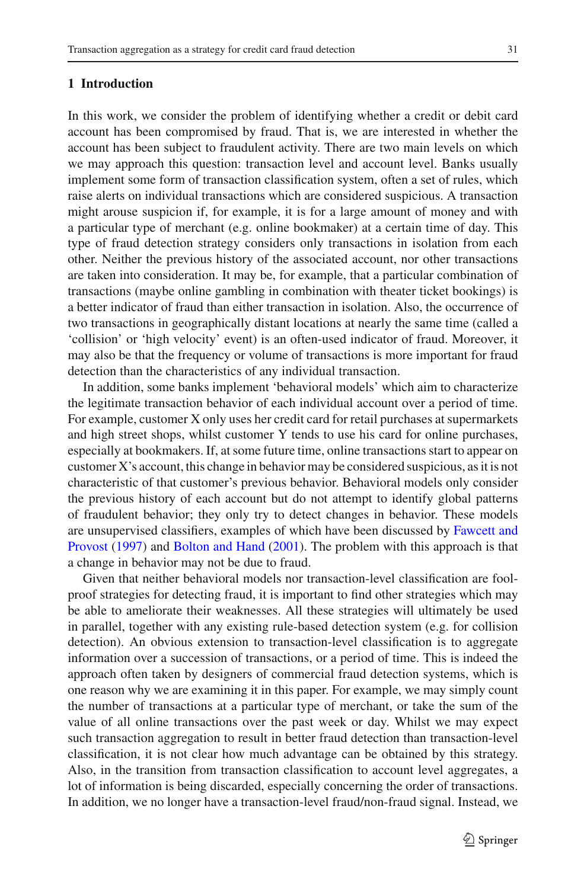In this work, we consider the problem of identifying whether a credit or debit card account has been compromised by fraud. That is, we are interested in whether the account has been subject to fraudulent activity. There are two main levels on which we may approach this question: transaction level and account level. Banks usually implement some form of transaction classification system, often a set of rules, which raise alerts on individual transactions which are considered suspicious. A transaction might arouse suspicion if, for example, it is for a large amount of money and with a particular type of merchant (e.g. online bookmaker) at a certain time of day. This type of fraud detection strategy considers only transactions in isolation from each other. Neither the previous history of the associated account, nor other transactions are taken into consideration. It may be, for example, that a particular combination of transactions (maybe online gambling in combination with theater ticket bookings) is a better indicator of fraud than either transaction in isolation. Also, the occurrence of two transactions in geographically distant locations at nearly the same time (called a 'collision' or 'high velocity' event) is an often-used indicator of fraud. Moreover, it may also be that the frequency or volume of transactions is more important for fraud detection than the characteristics of any individual transaction.

In addition, some banks implement 'behavioral models' which aim to characterize the legitimate transaction behavior of each individual account over a period of time. For example, customer X only uses her credit card for retail purchases at supermarkets and high street shops, whilst customer Y tends to use his card for online purchases, especially at bookmakers. If, at some future time, online transactions start to appear on customer X's account, this change in behavior may be considered suspicious, as it is not characteristic of that customer's previous behavior. Behavioral models only consider the previous history of each account but do not attempt to identify global patterns of fraudulent behavior; they only try to detect changes in behavior. These models are uns[upervised](#page-24-0) [classifiers,](#page-24-0) [examples](#page-24-0) [of](#page-24-0) [which](#page-24-0) [have](#page-24-0) [been](#page-24-0) [discussed](#page-24-0) [by](#page-24-0) Fawcett and Provost [\(1997\)](#page-24-0) and [Bolton and Hand](#page-24-1) [\(2001](#page-24-1)). The problem with this approach is that a change in behavior may not be due to fraud.

Given that neither behavioral models nor transaction-level classification are foolproof strategies for detecting fraud, it is important to find other strategies which may be able to ameliorate their weaknesses. All these strategies will ultimately be used in parallel, together with any existing rule-based detection system (e.g. for collision detection). An obvious extension to transaction-level classification is to aggregate information over a succession of transactions, or a period of time. This is indeed the approach often taken by designers of commercial fraud detection systems, which is one reason why we are examining it in this paper. For example, we may simply count the number of transactions at a particular type of merchant, or take the sum of the value of all online transactions over the past week or day. Whilst we may expect such transaction aggregation to result in better fraud detection than transaction-level classification, it is not clear how much advantage can be obtained by this strategy. Also, in the transition from transaction classification to account level aggregates, a lot of information is being discarded, especially concerning the order of transactions. In addition, we no longer have a transaction-level fraud/non-fraud signal. Instead, we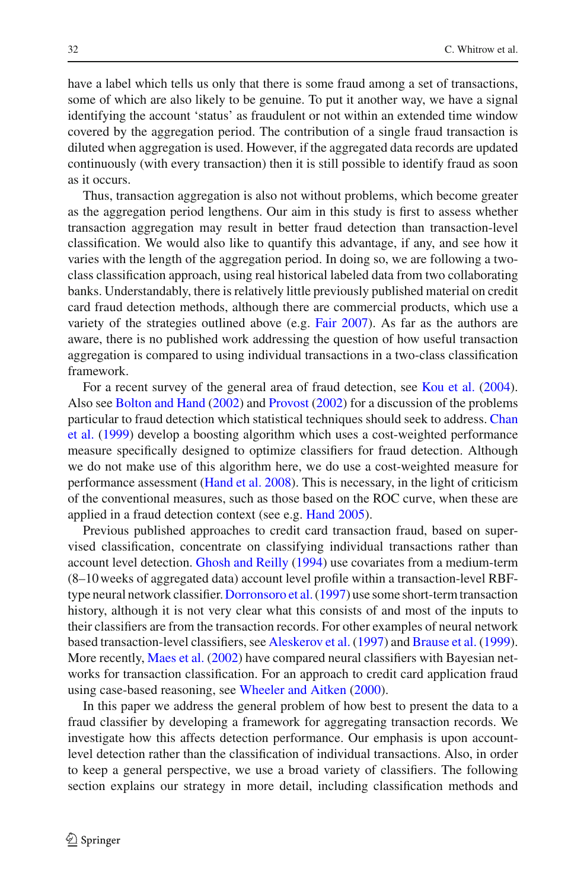have a label which tells us only that there is some fraud among a set of transactions, some of which are also likely to be genuine. To put it another way, we have a signal identifying the account 'status' as fraudulent or not within an extended time window covered by the aggregation period. The contribution of a single fraud transaction is diluted when aggregation is used. However, if the aggregated data records are updated continuously (with every transaction) then it is still possible to identify fraud as soon as it occurs.

Thus, transaction aggregation is also not without problems, which become greater as the aggregation period lengthens. Our aim in this study is first to assess whether transaction aggregation may result in better fraud detection than transaction-level classification. We would also like to quantify this advantage, if any, and see how it varies with the length of the aggregation period. In doing so, we are following a twoclass classification approach, using real historical labeled data from two collaborating banks. Understandably, there is relatively little previously published material on credit card fraud detection methods, although there are commercial products, which use a variety of the strategies outlined above (e.g. [Fair 2007\)](#page-24-2). As far as the authors are aware, there is no published work addressing the question of how useful transaction aggregation is compared to using individual transactions in a two-class classification framework.

For a recent survey of the general area of fraud detection, see [Kou et al.](#page-25-0) [\(2004](#page-25-0)). Also see [Bolton and Hand](#page-24-3) [\(2002](#page-24-3)) and [Provost](#page-25-1) [\(2002\)](#page-25-1) for a discussion of the problems parti[cular](#page-24-4) [to](#page-24-4) [fraud](#page-24-4) [detection](#page-24-4) [which](#page-24-4) [statistical](#page-24-4) [techniques](#page-24-4) [should](#page-24-4) [seek](#page-24-4) [to](#page-24-4) [address.](#page-24-4) Chan et al. [\(1999\)](#page-24-4) develop a boosting algorithm which uses a cost-weighted performance measure specifically designed to optimize classifiers for fraud detection. Although we do not make use of this algorithm here, we do use a cost-weighted measure for performance assessment [\(Hand et al. 2008](#page-25-2)). This is necessary, in the light of criticism of the conventional measures, such as those based on the ROC curve, when these are applied in a fraud detection context (see e.g. [Hand 2005](#page-25-3)).

Previous published approaches to credit card transaction fraud, based on supervised classification, concentrate on classifying individual transactions rather than account level detection. [Ghosh and Reilly](#page-25-4) [\(1994\)](#page-25-4) use covariates from a medium-term (8–10 weeks of aggregated data) account level profile within a transaction-level RBFtype neural network classifier. [Dorronsoro et al.\(1997](#page-24-5)) use some short-term transaction history, although it is not very clear what this consists of and most of the inputs to their classifiers are from the transaction records. For other examples of neural network based transaction-level classifiers, see [Aleskerov et al.](#page-24-6) [\(1997\)](#page-24-6) and [Brause et al.](#page-24-7) [\(1999](#page-24-7)). More recently, [Maes et al.](#page-25-5) [\(2002](#page-25-5)) have compared neural classifiers with Bayesian networks for transaction classification. For an approach to credit card application fraud using case-based reasoning, see [Wheeler and Aitken](#page-25-6) [\(2000](#page-25-6)).

In this paper we address the general problem of how best to present the data to a fraud classifier by developing a framework for aggregating transaction records. We investigate how this affects detection performance. Our emphasis is upon accountlevel detection rather than the classification of individual transactions. Also, in order to keep a general perspective, we use a broad variety of classifiers. The following section explains our strategy in more detail, including classification methods and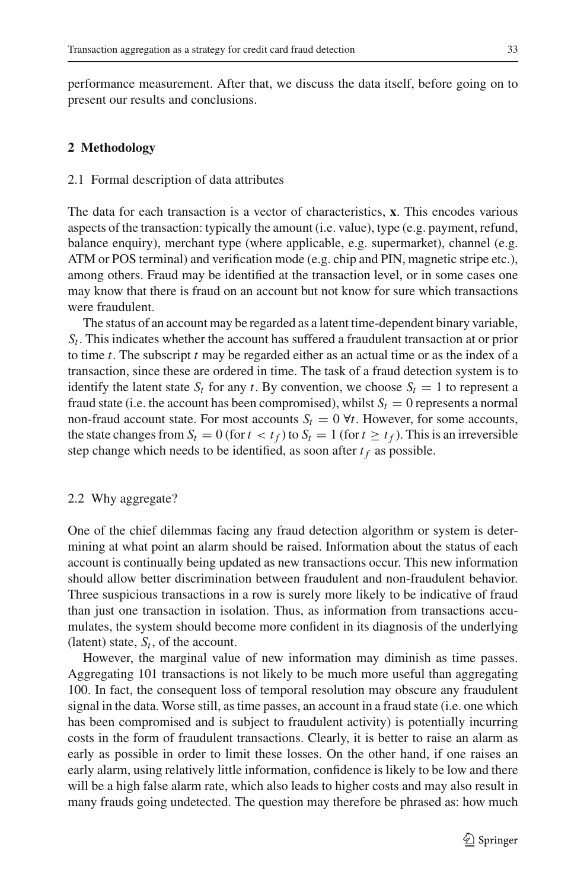performance measurement. After that, we discuss the data itself, before going on to present our results and conclusions.

### <span id="page-3-0"></span>**2 Methodology**

#### 2.1 Formal description of data attributes

The data for each transaction is a vector of characteristics, **x**. This encodes various aspects of the transaction: typically the amount (i.e. value), type (e.g. payment, refund, balance enquiry), merchant type (where applicable, e.g. supermarket), channel (e.g. ATM or POS terminal) and verification mode (e.g. chip and PIN, magnetic stripe etc.), among others. Fraud may be identified at the transaction level, or in some cases one may know that there is fraud on an account but not know for sure which transactions were fraudulent.

The status of an account may be regarded as a latent time-dependent binary variable,  $S_t$ . This indicates whether the account has suffered a fraudulent transaction at or prior to time *t*. The subscript *t* may be regarded either as an actual time or as the index of a transaction, since these are ordered in time. The task of a fraud detection system is to identify the latent state  $S_t$  for any *t*. By convention, we choose  $S_t = 1$  to represent a fraud state (i.e. the account has been compromised), whilst  $S_t = 0$  represents a normal non-fraud account state. For most accounts  $S_t = 0$   $\forall t$ . However, for some accounts, the state changes from  $S_t = 0$  (for  $t < t_f$ ) to  $S_t = 1$  (for  $t \geq t_f$ ). This is an irreversible step change which needs to be identified, as soon after  $t_f$  as possible.

#### 2.2 Why aggregate?

One of the chief dilemmas facing any fraud detection algorithm or system is determining at what point an alarm should be raised. Information about the status of each account is continually being updated as new transactions occur. This new information should allow better discrimination between fraudulent and non-fraudulent behavior. Three suspicious transactions in a row is surely more likely to be indicative of fraud than just one transaction in isolation. Thus, as information from transactions accumulates, the system should become more confident in its diagnosis of the underlying (latent) state,  $S_t$ , of the account.

However, the marginal value of new information may diminish as time passes. Aggregating 101 transactions is not likely to be much more useful than aggregating 100. In fact, the consequent loss of temporal resolution may obscure any fraudulent signal in the data. Worse still, as time passes, an account in a fraud state (i.e. one which has been compromised and is subject to fraudulent activity) is potentially incurring costs in the form of fraudulent transactions. Clearly, it is better to raise an alarm as early as possible in order to limit these losses. On the other hand, if one raises an early alarm, using relatively little information, confidence is likely to be low and there will be a high false alarm rate, which also leads to higher costs and may also result in many frauds going undetected. The question may therefore be phrased as: how much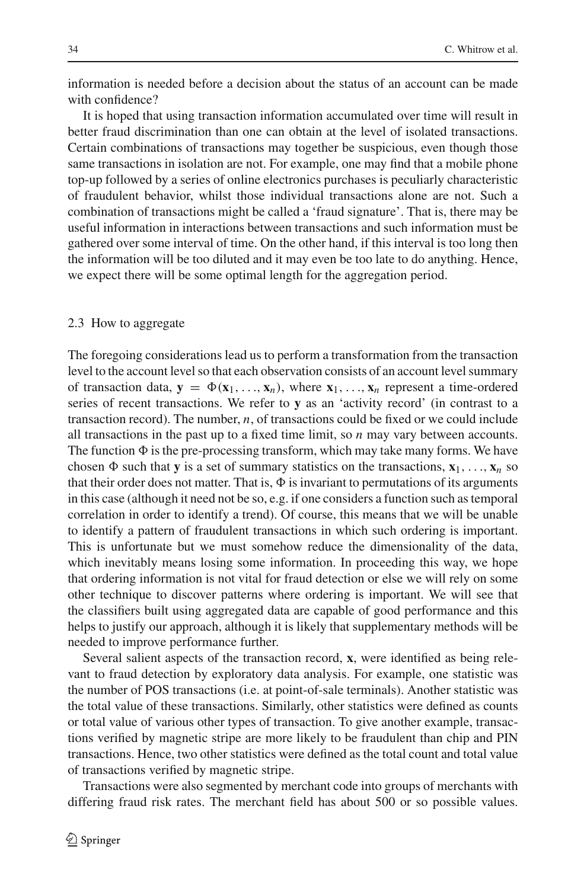information is needed before a decision about the status of an account can be made with confidence?

It is hoped that using transaction information accumulated over time will result in better fraud discrimination than one can obtain at the level of isolated transactions. Certain combinations of transactions may together be suspicious, even though those same transactions in isolation are not. For example, one may find that a mobile phone top-up followed by a series of online electronics purchases is peculiarly characteristic of fraudulent behavior, whilst those individual transactions alone are not. Such a combination of transactions might be called a 'fraud signature'. That is, there may be useful information in interactions between transactions and such information must be gathered over some interval of time. On the other hand, if this interval is too long then the information will be too diluted and it may even be too late to do anything. Hence, we expect there will be some optimal length for the aggregation period.

#### 2.3 How to aggregate

The foregoing considerations lead us to perform a transformation from the transaction level to the account level so that each observation consists of an account level summary of transaction data,  $\mathbf{y} = \Phi(\mathbf{x}_1, \dots, \mathbf{x}_n)$ , where  $\mathbf{x}_1, \dots, \mathbf{x}_n$  represent a time-ordered series of recent transactions. We refer to **y** as an 'activity record' (in contrast to a transaction record). The number, *n*, of transactions could be fixed or we could include all transactions in the past up to a fixed time limit, so *n* may vary between accounts. The function  $\Phi$  is the pre-processing transform, which may take many forms. We have chosen  $\Phi$  such that **y** is a set of summary statistics on the transactions,  $\mathbf{x}_1, \ldots, \mathbf{x}_n$  so that their order does not matter. That is,  $\Phi$  is invariant to permutations of its arguments in this case (although it need not be so, e.g. if one considers a function such as temporal correlation in order to identify a trend). Of course, this means that we will be unable to identify a pattern of fraudulent transactions in which such ordering is important. This is unfortunate but we must somehow reduce the dimensionality of the data, which inevitably means losing some information. In proceeding this way, we hope that ordering information is not vital for fraud detection or else we will rely on some other technique to discover patterns where ordering is important. We will see that the classifiers built using aggregated data are capable of good performance and this helps to justify our approach, although it is likely that supplementary methods will be needed to improve performance further.

Several salient aspects of the transaction record, **x**, were identified as being relevant to fraud detection by exploratory data analysis. For example, one statistic was the number of POS transactions (i.e. at point-of-sale terminals). Another statistic was the total value of these transactions. Similarly, other statistics were defined as counts or total value of various other types of transaction. To give another example, transactions verified by magnetic stripe are more likely to be fraudulent than chip and PIN transactions. Hence, two other statistics were defined as the total count and total value of transactions verified by magnetic stripe.

Transactions were also segmented by merchant code into groups of merchants with differing fraud risk rates. The merchant field has about 500 or so possible values.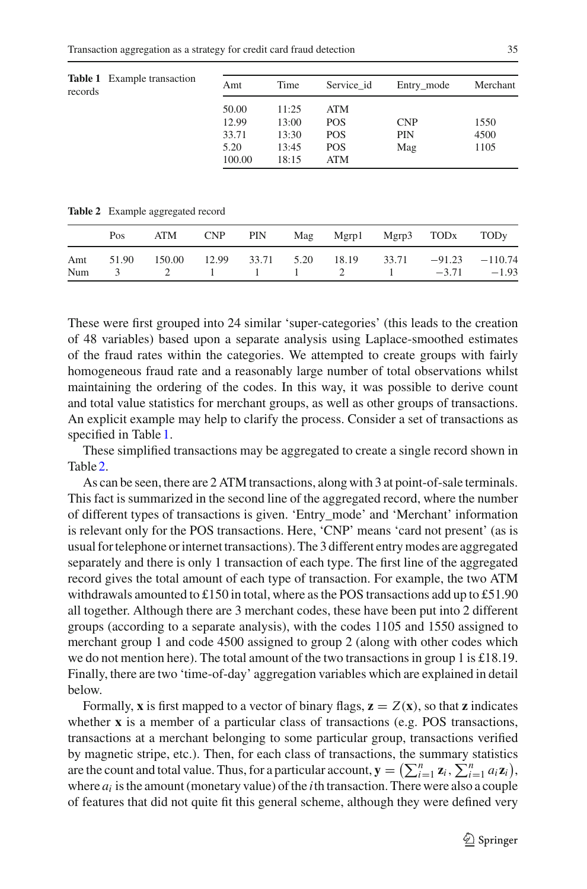<span id="page-5-0"></span>

| <b>Table 1</b> Example transaction<br>records | Amt                                       | Time                                      | Service id                                           | Entry_mode               | Merchant             |
|-----------------------------------------------|-------------------------------------------|-------------------------------------------|------------------------------------------------------|--------------------------|----------------------|
|                                               | 50.00<br>12.99<br>33.71<br>5.20<br>100.00 | 11:25<br>13:00<br>13:30<br>13:45<br>18:15 | ATM<br><b>POS</b><br><b>POS</b><br><b>POS</b><br>ATM | <b>CNP</b><br>PIN<br>Mag | 1550<br>4500<br>1105 |

**Table 2** Example aggregated record

<span id="page-5-1"></span>

|     | Pos | ATM CNP PIN Mag Mgrp1 Mgrp3 TODx TODy                                                   |  |  |  |  |
|-----|-----|-----------------------------------------------------------------------------------------|--|--|--|--|
| Num |     | Amt 51.90 150.00 12.99 33.71 5.20 18.19 33.71 -91.23 -110.74<br>3 2 1 1 2 1 -3.71 -1.93 |  |  |  |  |

These were first grouped into 24 similar 'super-categories' (this leads to the creation of 48 variables) based upon a separate analysis using Laplace-smoothed estimates of the fraud rates within the categories. We attempted to create groups with fairly homogeneous fraud rate and a reasonably large number of total observations whilst maintaining the ordering of the codes. In this way, it was possible to derive count and total value statistics for merchant groups, as well as other groups of transactions. An explicit example may help to clarify the process. Consider a set of transactions as specified in Table [1.](#page-5-0)

These simplified transactions may be aggregated to create a single record shown in Table [2.](#page-5-1)

As can be seen, there are 2 ATM transactions, along with 3 at point-of-sale terminals. This fact is summarized in the second line of the aggregated record, where the number of different types of transactions is given. 'Entry\_mode' and 'Merchant' information is relevant only for the POS transactions. Here, 'CNP' means 'card not present' (as is usual for telephone or internet transactions). The 3 different entry modes are aggregated separately and there is only 1 transaction of each type. The first line of the aggregated record gives the total amount of each type of transaction. For example, the two ATM withdrawals amounted to £150 in total, where as the POS transactions add up to £51.90 all together. Although there are 3 merchant codes, these have been put into 2 different groups (according to a separate analysis), with the codes 1105 and 1550 assigned to merchant group 1 and code 4500 assigned to group 2 (along with other codes which we do not mention here). The total amount of the two transactions in group 1 is £18.19. Finally, there are two 'time-of-day' aggregation variables which are explained in detail below.

Formally, **x** is first mapped to a vector of binary flags,  $z = Z(x)$ , so that **z** indicates whether **x** is a member of a particular class of transactions (e.g. POS transactions, transactions at a merchant belonging to some particular group, transactions verified by magnetic stripe, etc.). Then, for each class of transactions, the summary statistics are the count and total value. Thus, for a particular account,  $\mathbf{y} = \left(\sum_{i=1}^{n} \mathbf{z}_i, \sum_{i=1}^{n} a_i \mathbf{z}_i\right)$ , where  $a_i$  is the amount (monetary value) of the *i*th transaction. There were also a couple of features that did not quite fit this general scheme, although they were defined very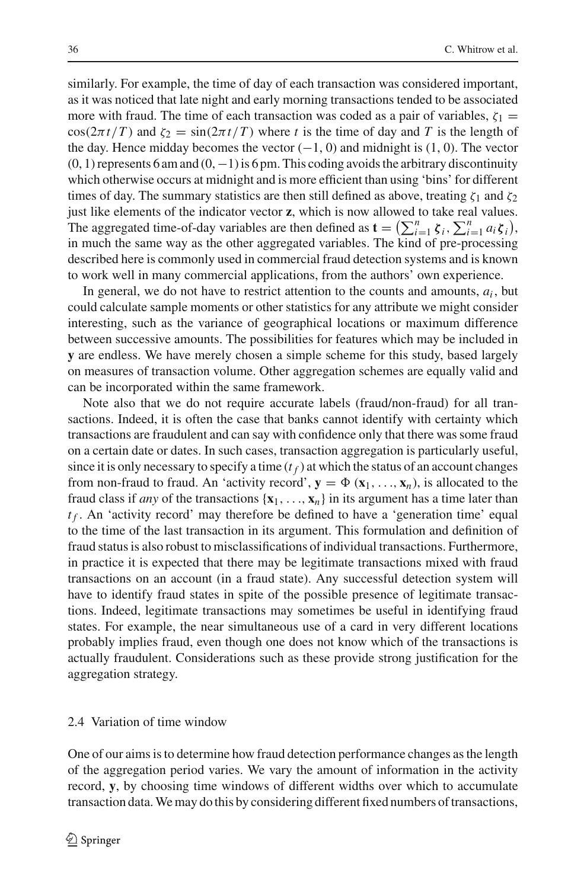similarly. For example, the time of day of each transaction was considered important, as it was noticed that late night and early morning transactions tended to be associated more with fraud. The time of each transaction was coded as a pair of variables,  $\zeta_1$  =  $\cos(2\pi t/T)$  and  $\zeta_2 = \sin(2\pi t/T)$  where *t* is the time of day and *T* is the length of the day. Hence midday becomes the vector  $(-1, 0)$  and midnight is  $(1, 0)$ . The vector  $(0, 1)$  represents 6 am and  $(0, -1)$  is 6 pm. This coding avoids the arbitrary discontinuity which otherwise occurs at midnight and is more efficient than using 'bins' for different times of day. The summary statistics are then still defined as above, treating  $\zeta_1$  and  $\zeta_2$ just like elements of the indicator vector **z**, which is now allowed to take real values. The aggregated time-of-day variables are then defined as  $\mathbf{t} = (\sum_{i=1}^{n} \zeta_i, \sum_{i=1}^{n} a_i \zeta_i)$ , in much the same way as the other aggregated variables. The kind of pre-processing described here is commonly used in commercial fraud detection systems and is known to work well in many commercial applications, from the authors' own experience.

In general, we do not have to restrict attention to the counts and amounts,  $a_i$ , but could calculate sample moments or other statistics for any attribute we might consider interesting, such as the variance of geographical locations or maximum difference between successive amounts. The possibilities for features which may be included in **y** are endless. We have merely chosen a simple scheme for this study, based largely on measures of transaction volume. Other aggregation schemes are equally valid and can be incorporated within the same framework.

Note also that we do not require accurate labels (fraud/non-fraud) for all transactions. Indeed, it is often the case that banks cannot identify with certainty which transactions are fraudulent and can say with confidence only that there was some fraud on a certain date or dates. In such cases, transaction aggregation is particularly useful, since it is only necessary to specify a time  $(t_f)$  at which the status of an account changes from non-fraud to fraud. An 'activity record',  $y = \Phi(x_1, \ldots, x_n)$ , is allocated to the fraud class if *any* of the transactions  $\{x_1, \ldots, x_n\}$  in its argument has a time later than  $t_f$ . An 'activity record' may therefore be defined to have a 'generation time' equal to the time of the last transaction in its argument. This formulation and definition of fraud status is also robust to misclassifications of individual transactions. Furthermore, in practice it is expected that there may be legitimate transactions mixed with fraud transactions on an account (in a fraud state). Any successful detection system will have to identify fraud states in spite of the possible presence of legitimate transactions. Indeed, legitimate transactions may sometimes be useful in identifying fraud states. For example, the near simultaneous use of a card in very different locations probably implies fraud, even though one does not know which of the transactions is actually fraudulent. Considerations such as these provide strong justification for the aggregation strategy.

#### 2.4 Variation of time window

One of our aims is to determine how fraud detection performance changes as the length of the aggregation period varies. We vary the amount of information in the activity record, **y**, by choosing time windows of different widths over which to accumulate transaction data.We may do this by considering different fixed numbers of transactions,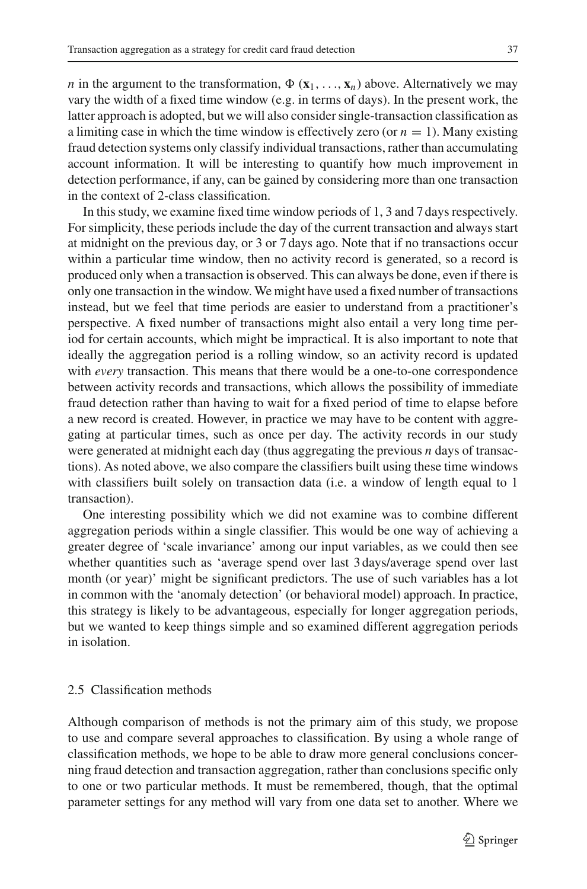*n* in the argument to the transformation,  $\Phi$  ( $\mathbf{x}_1, \ldots, \mathbf{x}_n$ ) above. Alternatively we may vary the width of a fixed time window (e.g. in terms of days). In the present work, the latter approach is adopted, but we will also consider single-transaction classification as a limiting case in which the time window is effectively zero (or  $n = 1$ ). Many existing fraud detection systems only classify individual transactions, rather than accumulating account information. It will be interesting to quantify how much improvement in detection performance, if any, can be gained by considering more than one transaction in the context of 2-class classification.

In this study, we examine fixed time window periods of 1, 3 and 7 days respectively. For simplicity, these periods include the day of the current transaction and always start at midnight on the previous day, or 3 or 7 days ago. Note that if no transactions occur within a particular time window, then no activity record is generated, so a record is produced only when a transaction is observed. This can always be done, even if there is only one transaction in the window. We might have used a fixed number of transactions instead, but we feel that time periods are easier to understand from a practitioner's perspective. A fixed number of transactions might also entail a very long time period for certain accounts, which might be impractical. It is also important to note that ideally the aggregation period is a rolling window, so an activity record is updated with *every* transaction. This means that there would be a one-to-one correspondence between activity records and transactions, which allows the possibility of immediate fraud detection rather than having to wait for a fixed period of time to elapse before a new record is created. However, in practice we may have to be content with aggregating at particular times, such as once per day. The activity records in our study were generated at midnight each day (thus aggregating the previous *n* days of transactions). As noted above, we also compare the classifiers built using these time windows with classifiers built solely on transaction data (i.e. a window of length equal to 1 transaction).

One interesting possibility which we did not examine was to combine different aggregation periods within a single classifier. This would be one way of achieving a greater degree of 'scale invariance' among our input variables, as we could then see whether quantities such as 'average spend over last 3 days/average spend over last month (or year)' might be significant predictors. The use of such variables has a lot in common with the 'anomaly detection' (or behavioral model) approach. In practice, this strategy is likely to be advantageous, especially for longer aggregation periods, but we wanted to keep things simple and so examined different aggregation periods in isolation.

## 2.5 Classification methods

Although comparison of methods is not the primary aim of this study, we propose to use and compare several approaches to classification. By using a whole range of classification methods, we hope to be able to draw more general conclusions concerning fraud detection and transaction aggregation, rather than conclusions specific only to one or two particular methods. It must be remembered, though, that the optimal parameter settings for any method will vary from one data set to another. Where we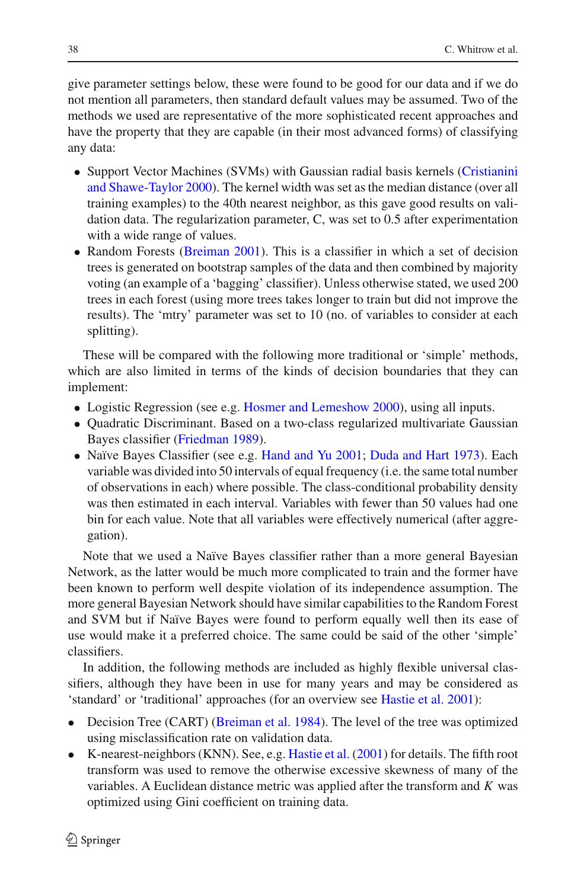give parameter settings below, these were found to be good for our data and if we do not mention all parameters, then standard default values may be assumed. Two of the methods we used are representative of the more sophisticated recent approaches and have the property that they are capable (in their most advanced forms) of classifying any data:

- Support Vector M[achines](#page-24-8) [\(SVMs\)](#page-24-8) [with](#page-24-8) [Gaussian](#page-24-8) [radial](#page-24-8) [basis](#page-24-8) [kernels](#page-24-8) [\(](#page-24-8)Cristianini and Shawe-Taylor [2000\)](#page-24-8). The kernel width was set as the median distance (over all training examples) to the 40th nearest neighbor, as this gave good results on validation data. The regularization parameter, C, was set to 0.5 after experimentation with a wide range of values.
- Random Forests [\(Breiman 2001](#page-24-9)). This is a classifier in which a set of decision trees is generated on bootstrap samples of the data and then combined by majority voting (an example of a 'bagging' classifier). Unless otherwise stated, we used 200 trees in each forest (using more trees takes longer to train but did not improve the results). The 'mtry' parameter was set to 10 (no. of variables to consider at each splitting).

These will be compared with the following more traditional or 'simple' methods, which are also limited in terms of the kinds of decision boundaries that they can implement:

- Logistic Regression (see e.g. [Hosmer and Lemeshow 2000](#page-25-7)), using all inputs.
- Quadratic Discriminant. Based on a two-class regularized multivariate Gaussian Bayes classifier [\(Friedman 1989\)](#page-24-10).
- Naïve Bayes Classifier (see e.g. [Hand and Yu 2001](#page-25-8); [Duda and Hart 1973](#page-24-11)). Each variable was divided into 50 intervals of equal frequency (i.e. the same total number of observations in each) where possible. The class-conditional probability density was then estimated in each interval. Variables with fewer than 50 values had one bin for each value. Note that all variables were effectively numerical (after aggregation).

Note that we used a Naïve Bayes classifier rather than a more general Bayesian Network, as the latter would be much more complicated to train and the former have been known to perform well despite violation of its independence assumption. The more general Bayesian Network should have similar capabilities to the Random Forest and SVM but if Naïve Bayes were found to perform equally well then its ease of use would make it a preferred choice. The same could be said of the other 'simple' classifiers.

In addition, the following methods are included as highly flexible universal classifiers, although they have been in use for many years and may be considered as 'standard' or 'traditional' approaches (for an overview see [Hastie et al. 2001](#page-25-9)):

- Decision Tree (CART) [\(Breiman et al. 1984](#page-24-12)). The level of the tree was optimized using misclassification rate on validation data.
- K-nearest-neighbors (KNN). See, e.g. [Hastie et al.](#page-25-9) [\(2001](#page-25-9)) for details. The fifth root transform was used to remove the otherwise excessive skewness of many of the variables. A Euclidean distance metric was applied after the transform and *K* was optimized using Gini coefficient on training data.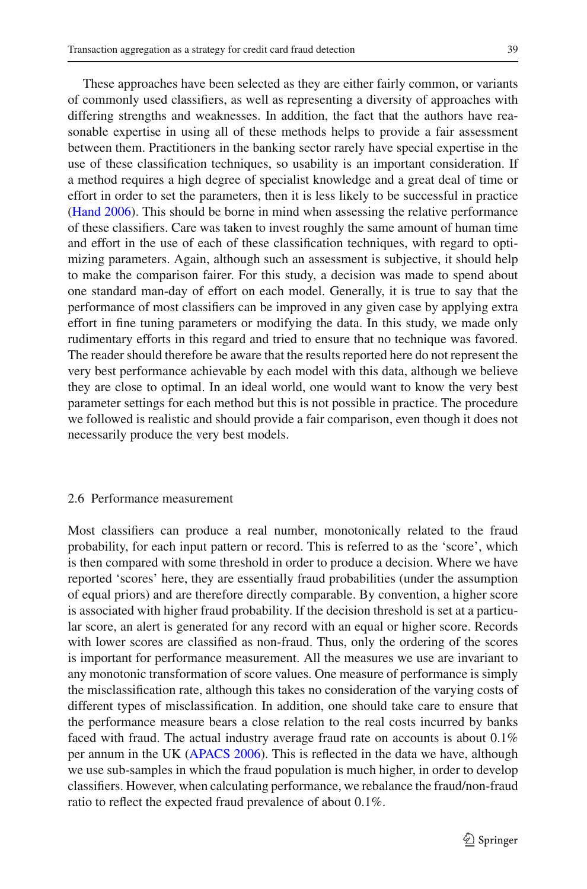These approaches have been selected as they are either fairly common, or variants of commonly used classifiers, as well as representing a diversity of approaches with differing strengths and weaknesses. In addition, the fact that the authors have reasonable expertise in using all of these methods helps to provide a fair assessment between them. Practitioners in the banking sector rarely have special expertise in the use of these classification techniques, so usability is an important consideration. If a method requires a high degree of specialist knowledge and a great deal of time or effort in order to set the parameters, then it is less likely to be successful in practice [\(Hand 2006](#page-25-10)). This should be borne in mind when assessing the relative performance of these classifiers. Care was taken to invest roughly the same amount of human time and effort in the use of each of these classification techniques, with regard to optimizing parameters. Again, although such an assessment is subjective, it should help to make the comparison fairer. For this study, a decision was made to spend about one standard man-day of effort on each model. Generally, it is true to say that the performance of most classifiers can be improved in any given case by applying extra effort in fine tuning parameters or modifying the data. In this study, we made only rudimentary efforts in this regard and tried to ensure that no technique was favored. The reader should therefore be aware that the results reported here do not represent the very best performance achievable by each model with this data, although we believe they are close to optimal. In an ideal world, one would want to know the very best parameter settings for each method but this is not possible in practice. The procedure we followed is realistic and should provide a fair comparison, even though it does not necessarily produce the very best models.

#### 2.6 Performance measurement

Most classifiers can produce a real number, monotonically related to the fraud probability, for each input pattern or record. This is referred to as the 'score', which is then compared with some threshold in order to produce a decision. Where we have reported 'scores' here, they are essentially fraud probabilities (under the assumption of equal priors) and are therefore directly comparable. By convention, a higher score is associated with higher fraud probability. If the decision threshold is set at a particular score, an alert is generated for any record with an equal or higher score. Records with lower scores are classified as non-fraud. Thus, only the ordering of the scores is important for performance measurement. All the measures we use are invariant to any monotonic transformation of score values. One measure of performance is simply the misclassification rate, although this takes no consideration of the varying costs of different types of misclassification. In addition, one should take care to ensure that the performance measure bears a close relation to the real costs incurred by banks faced with fraud. The actual industry average fraud rate on accounts is about 0.1% per annum in the UK [\(APACS 2006](#page-24-13)). This is reflected in the data we have, although we use sub-samples in which the fraud population is much higher, in order to develop classifiers. However, when calculating performance, we rebalance the fraud/non-fraud ratio to reflect the expected fraud prevalence of about 0.1%.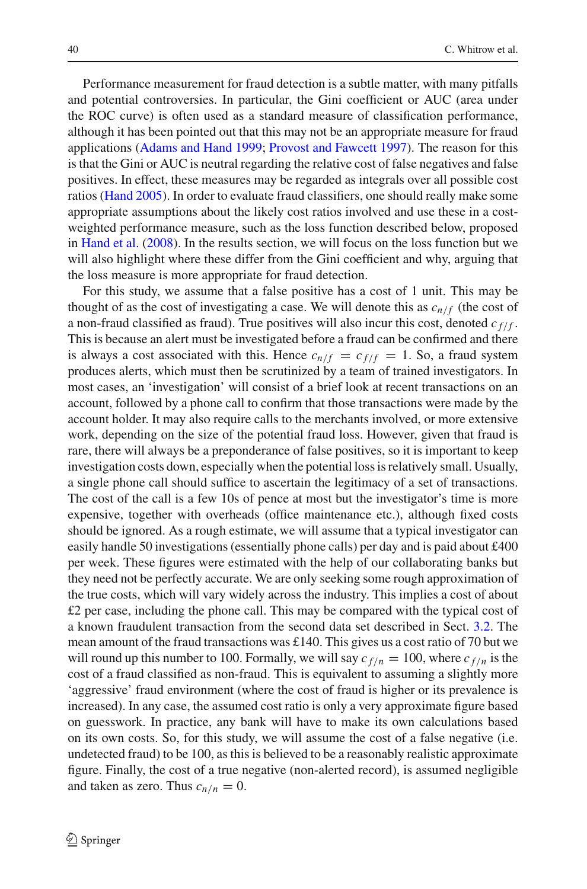Performance measurement for fraud detection is a subtle matter, with many pitfalls and potential controversies. In particular, the Gini coefficient or AUC (area under the ROC curve) is often used as a standard measure of classification performance, although it has been pointed out that this may not be an appropriate measure for fraud applications [\(Adams and Hand 1999](#page-24-14); [Provost and Fawcett 1997\)](#page-25-11). The reason for this is that the Gini or AUC is neutral regarding the relative cost of false negatives and false positives. In effect, these measures may be regarded as integrals over all possible cost ratios [\(Hand 2005\)](#page-25-3). In order to evaluate fraud classifiers, one should really make some appropriate assumptions about the likely cost ratios involved and use these in a costweighted performance measure, such as the loss function described below, proposed in [Hand et al.](#page-25-2) [\(2008\)](#page-25-2). In the results section, we will focus on the loss function but we will also highlight where these differ from the Gini coefficient and why, arguing that the loss measure is more appropriate for fraud detection.

For this study, we assume that a false positive has a cost of 1 unit. This may be thought of as the cost of investigating a case. We will denote this as  $c_{n/f}$  (the cost of a non-fraud classified as fraud). True positives will also incur this cost, denoted  $c_{ff}$ . This is because an alert must be investigated before a fraud can be confirmed and there is always a cost associated with this. Hence  $c_{n/f} = c_{f/f} = 1$ . So, a fraud system produces alerts, which must then be scrutinized by a team of trained investigators. In most cases, an 'investigation' will consist of a brief look at recent transactions on an account, followed by a phone call to confirm that those transactions were made by the account holder. It may also require calls to the merchants involved, or more extensive work, depending on the size of the potential fraud loss. However, given that fraud is rare, there will always be a preponderance of false positives, so it is important to keep investigation costs down, especially when the potential loss is relatively small. Usually, a single phone call should suffice to ascertain the legitimacy of a set of transactions. The cost of the call is a few 10s of pence at most but the investigator's time is more expensive, together with overheads (office maintenance etc.), although fixed costs should be ignored. As a rough estimate, we will assume that a typical investigator can easily handle 50 investigations (essentially phone calls) per day and is paid about £400 per week. These figures were estimated with the help of our collaborating banks but they need not be perfectly accurate. We are only seeking some rough approximation of the true costs, which will vary widely across the industry. This implies a cost of about £2 per case, including the phone call. This may be compared with the typical cost of a known fraudulent transaction from the second data set described in Sect. [3.2.](#page-14-0) The mean amount of the fraud transactions was £140. This gives us a cost ratio of 70 but we will round up this number to 100. Formally, we will say  $c_{f/n} = 100$ , where  $c_{f/n}$  is the cost of a fraud classified as non-fraud. This is equivalent to assuming a slightly more 'aggressive' fraud environment (where the cost of fraud is higher or its prevalence is increased). In any case, the assumed cost ratio is only a very approximate figure based on guesswork. In practice, any bank will have to make its own calculations based on its own costs. So, for this study, we will assume the cost of a false negative (i.e. undetected fraud) to be 100, as this is believed to be a reasonably realistic approximate figure. Finally, the cost of a true negative (non-alerted record), is assumed negligible and taken as zero. Thus  $c_{n/n} = 0$ .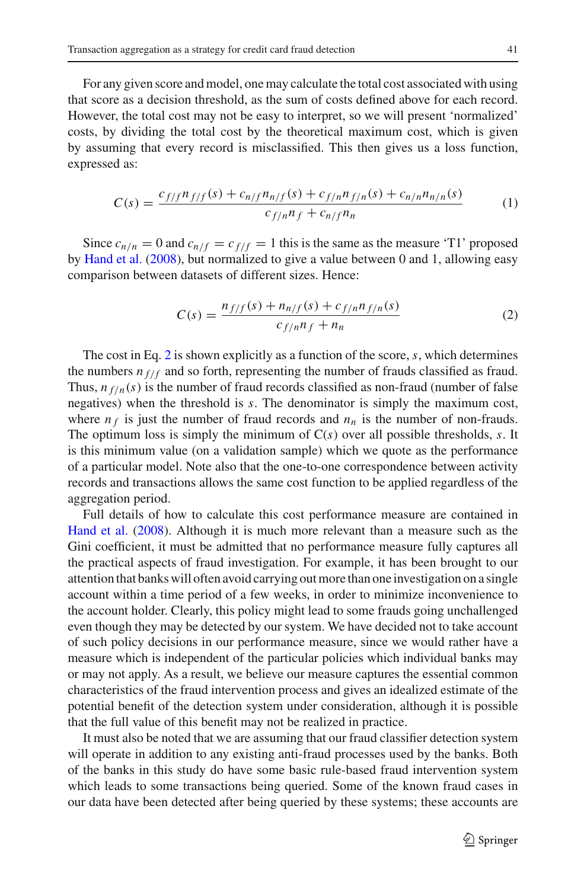For any given score and model, one may calculate the total cost associated with using that score as a decision threshold, as the sum of costs defined above for each record. However, the total cost may not be easy to interpret, so we will present 'normalized' costs, by dividing the total cost by the theoretical maximum cost, which is given by assuming that every record is misclassified. This then gives us a loss function, expressed as:

$$
C(s) = \frac{c_{f/f}n_{f/f}(s) + c_{n/f}n_{n/f}(s) + c_{f/n}n_{f/n}(s) + c_{n/n}n_{n/n}(s)}{c_{f/n}n_f + c_{n/f}n_n}
$$
(1)

Since  $c_{n/n} = 0$  and  $c_{n/f} = c_{f/f} = 1$  this is the same as the measure 'T1' proposed by [Hand et al.](#page-25-2) [\(2008](#page-25-2)), but normalized to give a value between 0 and 1, allowing easy comparison between datasets of different sizes. Hence:

$$
C(s) = \frac{n_{f/f}(s) + n_{n/f}(s) + c_{f/n}n_{f/n}(s)}{c_{f/n}n_f + n_n}
$$
 (2)

<span id="page-11-0"></span>The cost in Eq. [2](#page-11-0) is shown explicitly as a function of the score, *s*, which determines the numbers  $n_{f/f}$  and so forth, representing the number of frauds classified as fraud. Thus,  $n_{f/n}(s)$  is the number of fraud records classified as non-fraud (number of false negatives) when the threshold is *s*. The denominator is simply the maximum cost, where  $n_f$  is just the number of fraud records and  $n_n$  is the number of non-frauds. The optimum loss is simply the minimum of C(*s*) over all possible thresholds, *s*. It is this minimum value (on a validation sample) which we quote as the performance of a particular model. Note also that the one-to-one correspondence between activity records and transactions allows the same cost function to be applied regardless of the aggregation period.

Full details of how to calculate this cost performance measure are contained in [Hand et al.](#page-25-2) [\(2008\)](#page-25-2). Although it is much more relevant than a measure such as the Gini coefficient, it must be admitted that no performance measure fully captures all the practical aspects of fraud investigation. For example, it has been brought to our attention that banks will often avoid carrying out more than one investigation on a single account within a time period of a few weeks, in order to minimize inconvenience to the account holder. Clearly, this policy might lead to some frauds going unchallenged even though they may be detected by our system. We have decided not to take account of such policy decisions in our performance measure, since we would rather have a measure which is independent of the particular policies which individual banks may or may not apply. As a result, we believe our measure captures the essential common characteristics of the fraud intervention process and gives an idealized estimate of the potential benefit of the detection system under consideration, although it is possible that the full value of this benefit may not be realized in practice.

It must also be noted that we are assuming that our fraud classifier detection system will operate in addition to any existing anti-fraud processes used by the banks. Both of the banks in this study do have some basic rule-based fraud intervention system which leads to some transactions being queried. Some of the known fraud cases in our data have been detected after being queried by these systems; these accounts are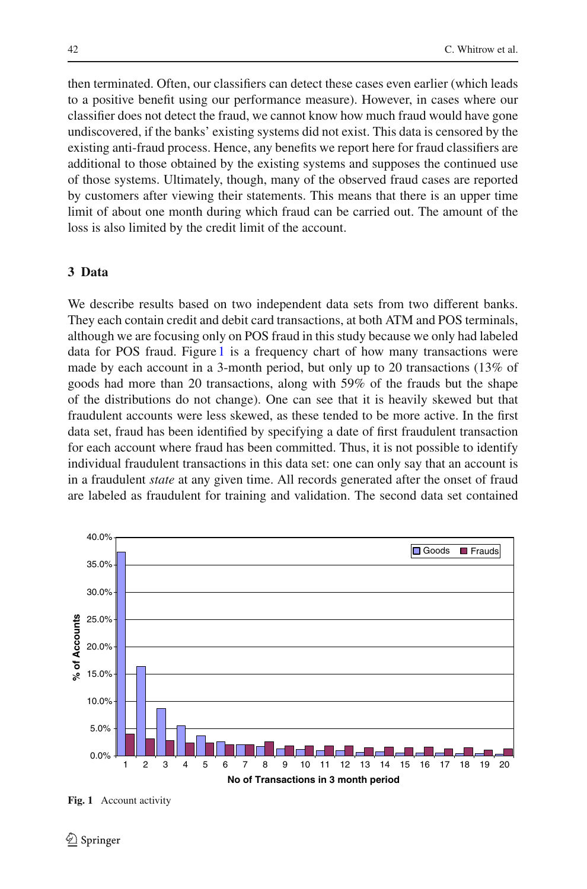then terminated. Often, our classifiers can detect these cases even earlier (which leads to a positive benefit using our performance measure). However, in cases where our classifier does not detect the fraud, we cannot know how much fraud would have gone undiscovered, if the banks' existing systems did not exist. This data is censored by the existing anti-fraud process. Hence, any benefits we report here for fraud classifiers are additional to those obtained by the existing systems and supposes the continued use of those systems. Ultimately, though, many of the observed fraud cases are reported by customers after viewing their statements. This means that there is an upper time limit of about one month during which fraud can be carried out. The amount of the loss is also limited by the credit limit of the account.

# **3 Data**

We describe results based on two independent data sets from two different banks. They each contain credit and debit card transactions, at both ATM and POS terminals, although we are focusing only on POS fraud in this study because we only had labeled data for POS fraud. Figure  $1$  is a frequency chart of how many transactions were made by each account in a 3-month period, but only up to 20 transactions (13% of goods had more than 20 transactions, along with 59% of the frauds but the shape of the distributions do not change). One can see that it is heavily skewed but that fraudulent accounts were less skewed, as these tended to be more active. In the first data set, fraud has been identified by specifying a date of first fraudulent transaction for each account where fraud has been committed. Thus, it is not possible to identify individual fraudulent transactions in this data set: one can only say that an account is in a fraudulent *state* at any given time. All records generated after the onset of fraud are labeled as fraudulent for training and validation. The second data set contained



<span id="page-12-0"></span>**Fig. 1** Account activity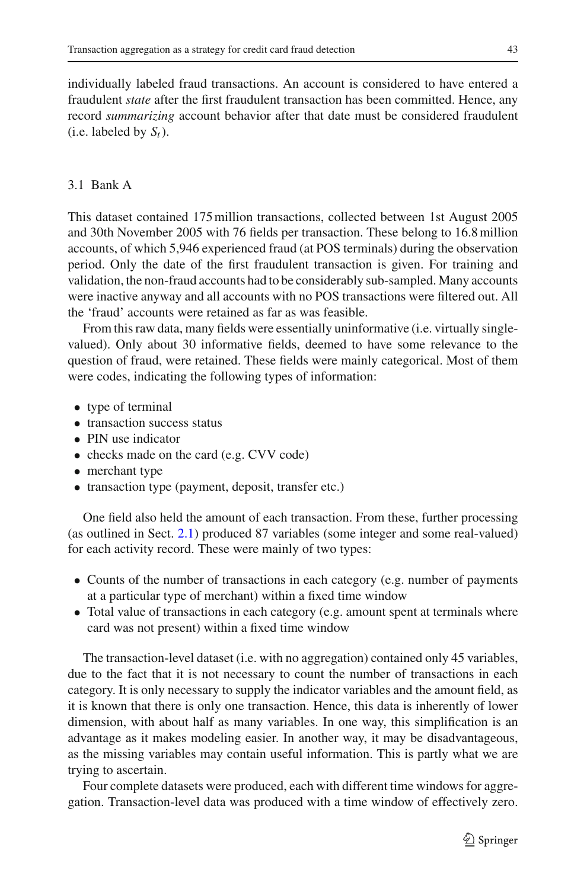individually labeled fraud transactions. An account is considered to have entered a fraudulent *state* after the first fraudulent transaction has been committed. Hence, any record *summarizing* account behavior after that date must be considered fraudulent  $(i.e.$  labeled by  $S_t$ ).

# 3.1 Bank A

This dataset contained 175 million transactions, collected between 1st August 2005 and 30th November 2005 with 76 fields per transaction. These belong to 16.8 million accounts, of which 5,946 experienced fraud (at POS terminals) during the observation period. Only the date of the first fraudulent transaction is given. For training and validation, the non-fraud accounts had to be considerably sub-sampled. Many accounts were inactive anyway and all accounts with no POS transactions were filtered out. All the 'fraud' accounts were retained as far as was feasible.

From this raw data, many fields were essentially uninformative (i.e. virtually singlevalued). Only about 30 informative fields, deemed to have some relevance to the question of fraud, were retained. These fields were mainly categorical. Most of them were codes, indicating the following types of information:

- type of terminal
- transaction success status
- PIN use indicator
- checks made on the card (e.g. CVV code)
- merchant type
- transaction type (payment, deposit, transfer etc.)

One field also held the amount of each transaction. From these, further processing (as outlined in Sect. [2.1\)](#page-3-0) produced 87 variables (some integer and some real-valued) for each activity record. These were mainly of two types:

- Counts of the number of transactions in each category (e.g. number of payments at a particular type of merchant) within a fixed time window
- Total value of transactions in each category (e.g. amount spent at terminals where card was not present) within a fixed time window

The transaction-level dataset (i.e. with no aggregation) contained only 45 variables, due to the fact that it is not necessary to count the number of transactions in each category. It is only necessary to supply the indicator variables and the amount field, as it is known that there is only one transaction. Hence, this data is inherently of lower dimension, with about half as many variables. In one way, this simplification is an advantage as it makes modeling easier. In another way, it may be disadvantageous, as the missing variables may contain useful information. This is partly what we are trying to ascertain.

Four complete datasets were produced, each with different time windows for aggregation. Transaction-level data was produced with a time window of effectively zero.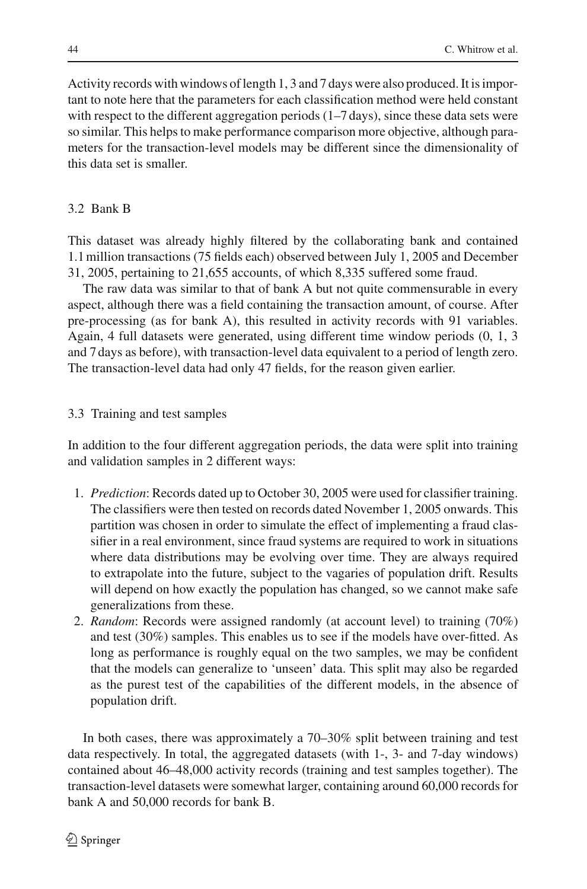Activity records with windows of length 1, 3 and 7 days were also produced. It is important to note here that the parameters for each classification method were held constant with respect to the different aggregation periods (1–7 days), since these data sets were so similar. This helps to make performance comparison more objective, although parameters for the transaction-level models may be different since the dimensionality of this data set is smaller.

# <span id="page-14-0"></span>3.2 Bank B

This dataset was already highly filtered by the collaborating bank and contained 1.1 million transactions (75 fields each) observed between July 1, 2005 and December 31, 2005, pertaining to 21,655 accounts, of which 8,335 suffered some fraud.

The raw data was similar to that of bank A but not quite commensurable in every aspect, although there was a field containing the transaction amount, of course. After pre-processing (as for bank A), this resulted in activity records with 91 variables. Again, 4 full datasets were generated, using different time window periods (0, 1, 3 and 7 days as before), with transaction-level data equivalent to a period of length zero. The transaction-level data had only 47 fields, for the reason given earlier.

#### 3.3 Training and test samples

In addition to the four different aggregation periods, the data were split into training and validation samples in 2 different ways:

- 1. *Prediction*: Records dated up to October 30, 2005 were used for classifier training. The classifiers were then tested on records dated November 1, 2005 onwards. This partition was chosen in order to simulate the effect of implementing a fraud classifier in a real environment, since fraud systems are required to work in situations where data distributions may be evolving over time. They are always required to extrapolate into the future, subject to the vagaries of population drift. Results will depend on how exactly the population has changed, so we cannot make safe generalizations from these.
- 2. *Random*: Records were assigned randomly (at account level) to training (70%) and test (30%) samples. This enables us to see if the models have over-fitted. As long as performance is roughly equal on the two samples, we may be confident that the models can generalize to 'unseen' data. This split may also be regarded as the purest test of the capabilities of the different models, in the absence of population drift.

In both cases, there was approximately a 70–30% split between training and test data respectively. In total, the aggregated datasets (with 1-, 3- and 7-day windows) contained about 46–48,000 activity records (training and test samples together). The transaction-level datasets were somewhat larger, containing around 60,000 records for bank A and 50,000 records for bank B.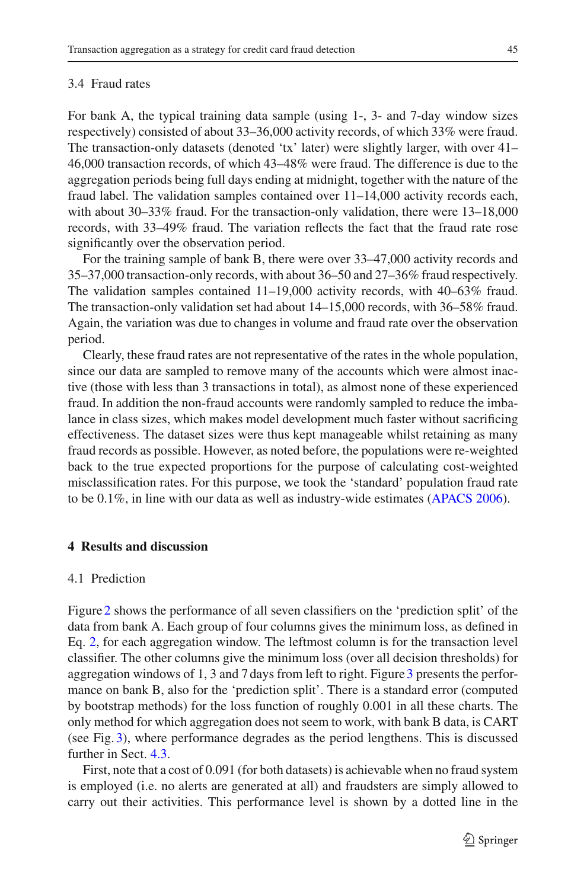## 3.4 Fraud rates

For bank A, the typical training data sample (using 1-, 3- and 7-day window sizes respectively) consisted of about 33–36,000 activity records, of which 33% were fraud. The transaction-only datasets (denoted 'tx' later) were slightly larger, with over 41– 46,000 transaction records, of which 43–48% were fraud. The difference is due to the aggregation periods being full days ending at midnight, together with the nature of the fraud label. The validation samples contained over 11–14,000 activity records each, with about 30–33% fraud. For the transaction-only validation, there were 13–18,000 records, with 33–49% fraud. The variation reflects the fact that the fraud rate rose significantly over the observation period.

For the training sample of bank B, there were over 33–47,000 activity records and 35–37,000 transaction-only records, with about 36–50 and 27–36% fraud respectively. The validation samples contained 11–19,000 activity records, with 40–63% fraud. The transaction-only validation set had about 14–15,000 records, with 36–58% fraud. Again, the variation was due to changes in volume and fraud rate over the observation period.

Clearly, these fraud rates are not representative of the rates in the whole population, since our data are sampled to remove many of the accounts which were almost inactive (those with less than 3 transactions in total), as almost none of these experienced fraud. In addition the non-fraud accounts were randomly sampled to reduce the imbalance in class sizes, which makes model development much faster without sacrificing effectiveness. The dataset sizes were thus kept manageable whilst retaining as many fraud records as possible. However, as noted before, the populations were re-weighted back to the true expected proportions for the purpose of calculating cost-weighted misclassification rates. For this purpose, we took the 'standard' population fraud rate to be 0.1%, in line with our data as well as industry-wide estimates [\(APACS 2006](#page-24-13)).

## **4 Results and discussion**

#### 4.1 Prediction

Figure [2](#page-16-0) shows the performance of all seven classifiers on the 'prediction split' of the data from bank A. Each group of four columns gives the minimum loss, as defined in Eq. [2,](#page-11-0) for each aggregation window. The leftmost column is for the transaction level classifier. The other columns give the minimum loss (over all decision thresholds) for aggregation windows of 1, 3 and 7 days from left to right. Figure [3](#page-16-1) presents the performance on bank B, also for the 'prediction split'. There is a standard error (computed by bootstrap methods) for the loss function of roughly 0.001 in all these charts. The only method for which aggregation does not seem to work, with bank B data, is CART (see Fig. [3\)](#page-16-1), where performance degrades as the period lengthens. This is discussed further in Sect. [4.3.](#page-17-0)

First, note that a cost of 0.091 (for both datasets) is achievable when no fraud system is employed (i.e. no alerts are generated at all) and fraudsters are simply allowed to carry out their activities. This performance level is shown by a dotted line in the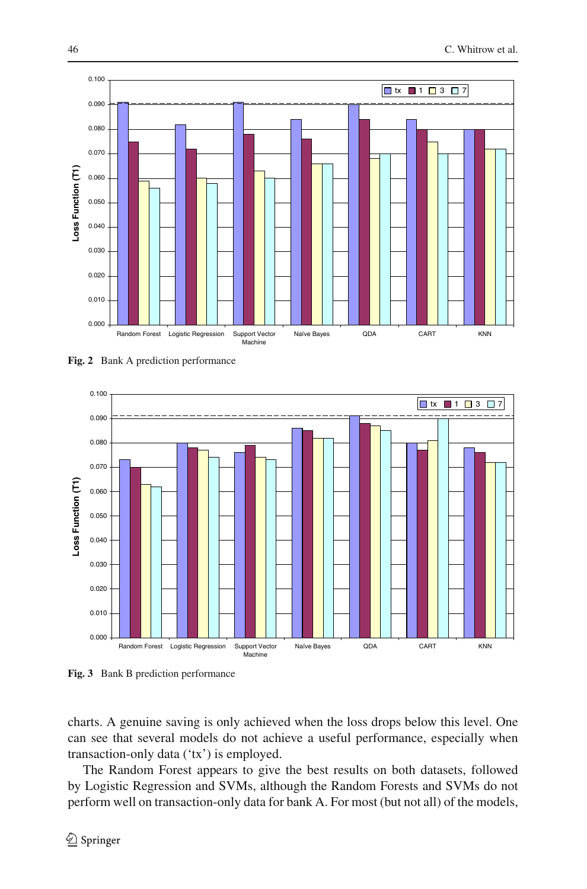

**Fig. 2** Bank A prediction performance

<span id="page-16-0"></span>

<span id="page-16-1"></span>

charts. A genuine saving is only achieved when the loss drops below this level. One can see that several models do not achieve a useful performance, especially when transaction-only data ('tx') is employed.

The Random Forest appears to give the best results on both datasets, followed by Logistic Regression and SVMs, although the Random Forests and SVMs do not perform well on transaction-only data for bank A. For most (but not all) of the models,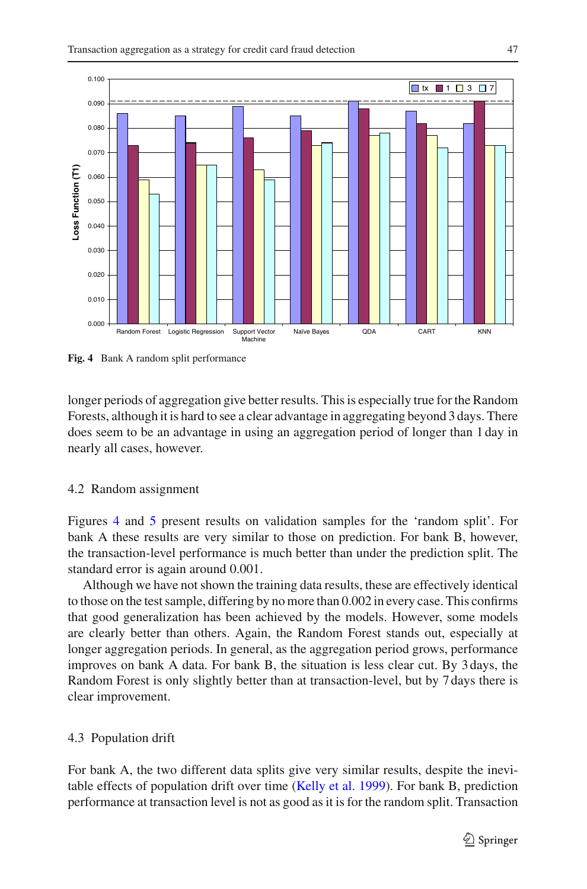

<span id="page-17-1"></span>**Fig. 4** Bank A random split performance

longer periods of aggregation give better results. This is especially true for the Random Forests, although it is hard to see a clear advantage in aggregating beyond 3 days. There does seem to be an advantage in using an aggregation period of longer than 1 day in nearly all cases, however.

## 4.2 Random assignment

Figures [4](#page-17-1) and [5](#page-18-0) present results on validation samples for the 'random split'. For bank A these results are very similar to those on prediction. For bank B, however, the transaction-level performance is much better than under the prediction split. The standard error is again around 0.001.

Although we have not shown the training data results, these are effectively identical to those on the test sample, differing by no more than 0.002 in every case. This confirms that good generalization has been achieved by the models. However, some models are clearly better than others. Again, the Random Forest stands out, especially at longer aggregation periods. In general, as the aggregation period grows, performance improves on bank A data. For bank B, the situation is less clear cut. By 3 days, the Random Forest is only slightly better than at transaction-level, but by 7 days there is clear improvement.

# <span id="page-17-0"></span>4.3 Population drift

For bank A, the two different data splits give very similar results, despite the inevitable effects of population drift over time [\(Kelly et al. 1999\)](#page-25-12). For bank B, prediction performance at transaction level is not as good as it is for the random split. Transaction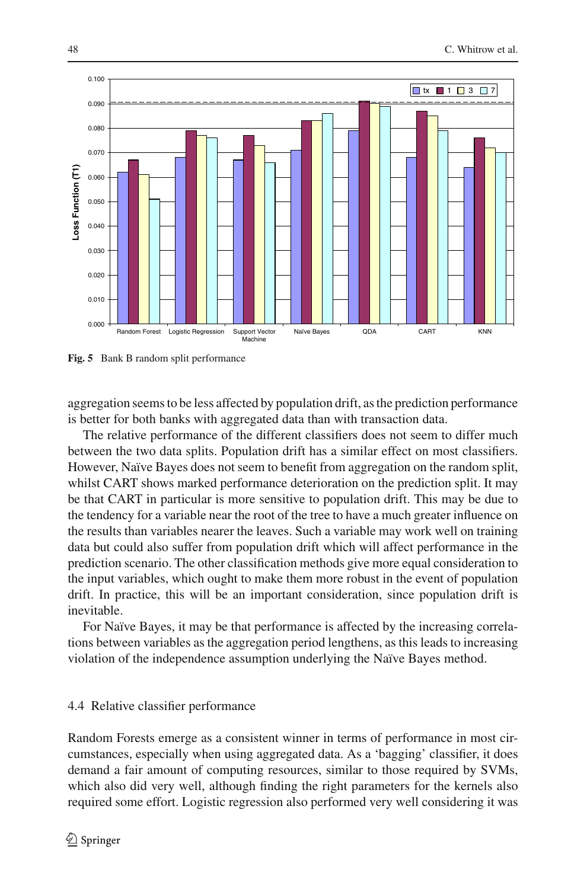

<span id="page-18-0"></span>**Fig. 5** Bank B random split performance

aggregation seems to be less affected by population drift, as the prediction performance is better for both banks with aggregated data than with transaction data.

The relative performance of the different classifiers does not seem to differ much between the two data splits. Population drift has a similar effect on most classifiers. However, Naïve Bayes does not seem to benefit from aggregation on the random split, whilst CART shows marked performance deterioration on the prediction split. It may be that CART in particular is more sensitive to population drift. This may be due to the tendency for a variable near the root of the tree to have a much greater influence on the results than variables nearer the leaves. Such a variable may work well on training data but could also suffer from population drift which will affect performance in the prediction scenario. The other classification methods give more equal consideration to the input variables, which ought to make them more robust in the event of population drift. In practice, this will be an important consideration, since population drift is inevitable.

For Naïve Bayes, it may be that performance is affected by the increasing correlations between variables as the aggregation period lengthens, as this leads to increasing violation of the independence assumption underlying the Naïve Bayes method.

# 4.4 Relative classifier performance

Random Forests emerge as a consistent winner in terms of performance in most circumstances, especially when using aggregated data. As a 'bagging' classifier, it does demand a fair amount of computing resources, similar to those required by SVMs, which also did very well, although finding the right parameters for the kernels also required some effort. Logistic regression also performed very well considering it was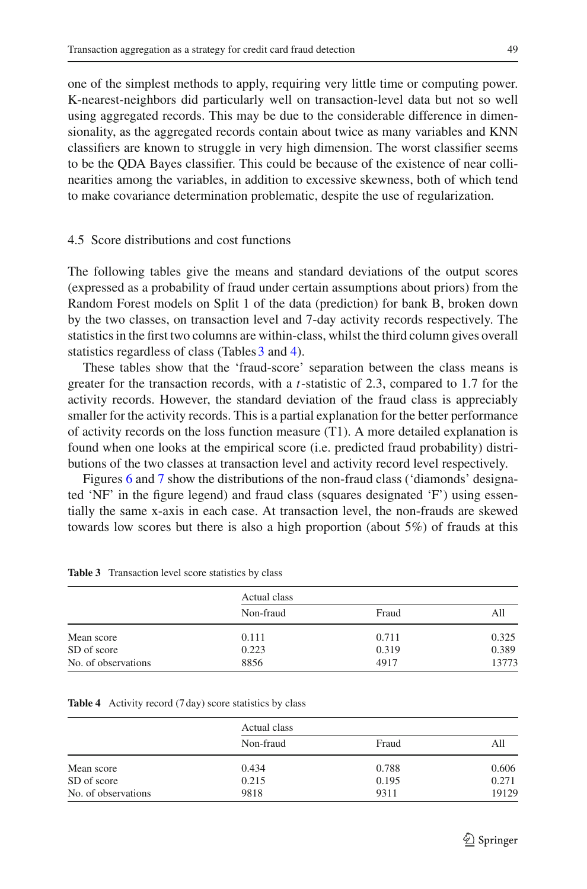one of the simplest methods to apply, requiring very little time or computing power. K-nearest-neighbors did particularly well on transaction-level data but not so well using aggregated records. This may be due to the considerable difference in dimensionality, as the aggregated records contain about twice as many variables and KNN classifiers are known to struggle in very high dimension. The worst classifier seems to be the QDA Bayes classifier. This could be because of the existence of near collinearities among the variables, in addition to excessive skewness, both of which tend to make covariance determination problematic, despite the use of regularization.

#### 4.5 Score distributions and cost functions

The following tables give the means and standard deviations of the output scores (expressed as a probability of fraud under certain assumptions about priors) from the Random Forest models on Split 1 of the data (prediction) for bank B, broken down by the two classes, on transaction level and 7-day activity records respectively. The statistics in the first two columns are within-class, whilst the third column gives overall statistics regardless of class (Tables [3](#page-19-0) and [4\)](#page-19-1).

These tables show that the 'fraud-score' separation between the class means is greater for the transaction records, with a *t*-statistic of 2.3, compared to 1.7 for the activity records. However, the standard deviation of the fraud class is appreciably smaller for the activity records. This is a partial explanation for the better performance of activity records on the loss function measure (T1). A more detailed explanation is found when one looks at the empirical score (i.e. predicted fraud probability) distributions of the two classes at transaction level and activity record level respectively.

Figures [6](#page-20-0) and [7](#page-20-1) show the distributions of the non-fraud class ('diamonds' designated 'NF' in the figure legend) and fraud class (squares designated 'F') using essentially the same x-axis in each case. At transaction level, the non-frauds are skewed towards low scores but there is also a high proportion (about 5%) of frauds at this

<span id="page-19-0"></span>

|                     | Actual class |       |       |  |
|---------------------|--------------|-------|-------|--|
|                     | Non-fraud    | Fraud | All   |  |
| Mean score          | 0.111        | 0.711 | 0.325 |  |
| SD of score         | 0.223        | 0.319 | 0.389 |  |
| No. of observations | 8856         | 4917  | 13773 |  |

|  | Table 3 Transaction level score statistics by class |  |  |  |  |  |
|--|-----------------------------------------------------|--|--|--|--|--|
|--|-----------------------------------------------------|--|--|--|--|--|

**Table 4** Activity record (7 day) score statistics by class

<span id="page-19-1"></span>

|                     | Actual class |       |       |  |  |
|---------------------|--------------|-------|-------|--|--|
|                     | Non-fraud    | Fraud | All   |  |  |
| Mean score          | 0.434        | 0.788 | 0.606 |  |  |
| SD of score         | 0.215        | 0.195 | 0.271 |  |  |
| No. of observations | 9818         | 9311  | 19129 |  |  |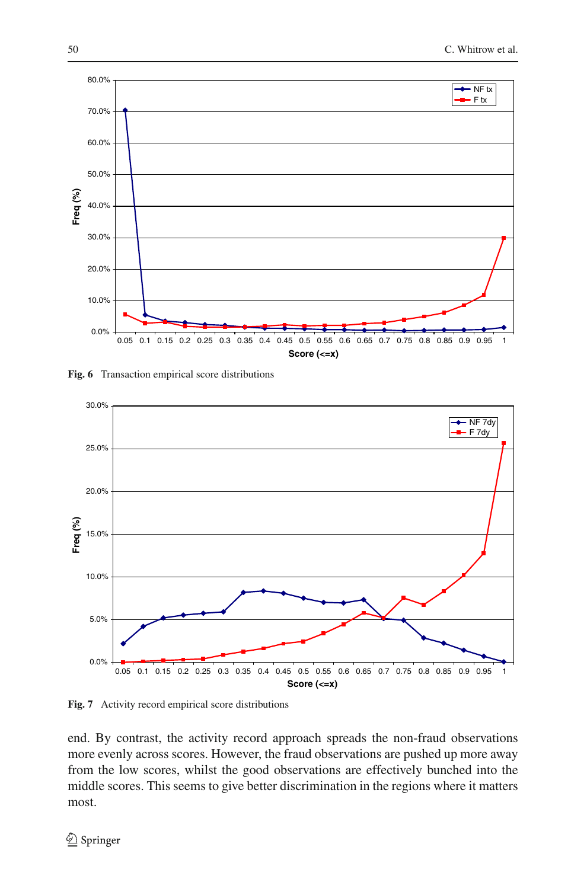

**Fig. 6** Transaction empirical score distributions

<span id="page-20-0"></span>

<span id="page-20-1"></span>**Fig. 7** Activity record empirical score distributions

end. By contrast, the activity record approach spreads the non-fraud observations more evenly across scores. However, the fraud observations are pushed up more away from the low scores, whilst the good observations are effectively bunched into the middle scores. This seems to give better discrimination in the regions where it matters most.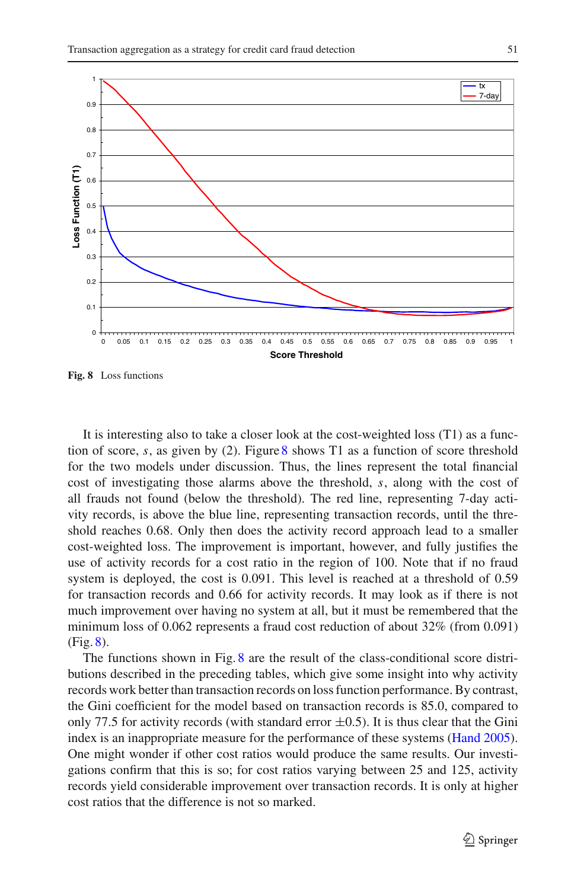

<span id="page-21-0"></span>**Fig. 8** Loss functions

It is interesting also to take a closer look at the cost-weighted loss (T1) as a function of score, *s*, as given by (2). Figure [8](#page-21-0) shows T1 as a function of score threshold for the two models under discussion. Thus, the lines represent the total financial cost of investigating those alarms above the threshold, *s*, along with the cost of all frauds not found (below the threshold). The red line, representing 7-day activity records, is above the blue line, representing transaction records, until the threshold reaches 0.68. Only then does the activity record approach lead to a smaller cost-weighted loss. The improvement is important, however, and fully justifies the use of activity records for a cost ratio in the region of 100. Note that if no fraud system is deployed, the cost is 0.091. This level is reached at a threshold of 0.59 for transaction records and 0.66 for activity records. It may look as if there is not much improvement over having no system at all, but it must be remembered that the minimum loss of 0.062 represents a fraud cost reduction of about 32% (from 0.091) (Fig. [8\)](#page-21-0).

The functions shown in Fig. [8](#page-21-0) are the result of the class-conditional score distributions described in the preceding tables, which give some insight into why activity records work better than transaction records on loss function performance. By contrast, the Gini coefficient for the model based on transaction records is 85.0, compared to only 77.5 for activity records (with standard error  $\pm 0.5$ ). It is thus clear that the Gini index is an inappropriate measure for the performance of these systems [\(Hand 2005](#page-25-3)). One might wonder if other cost ratios would produce the same results. Our investigations confirm that this is so; for cost ratios varying between 25 and 125, activity records yield considerable improvement over transaction records. It is only at higher cost ratios that the difference is not so marked.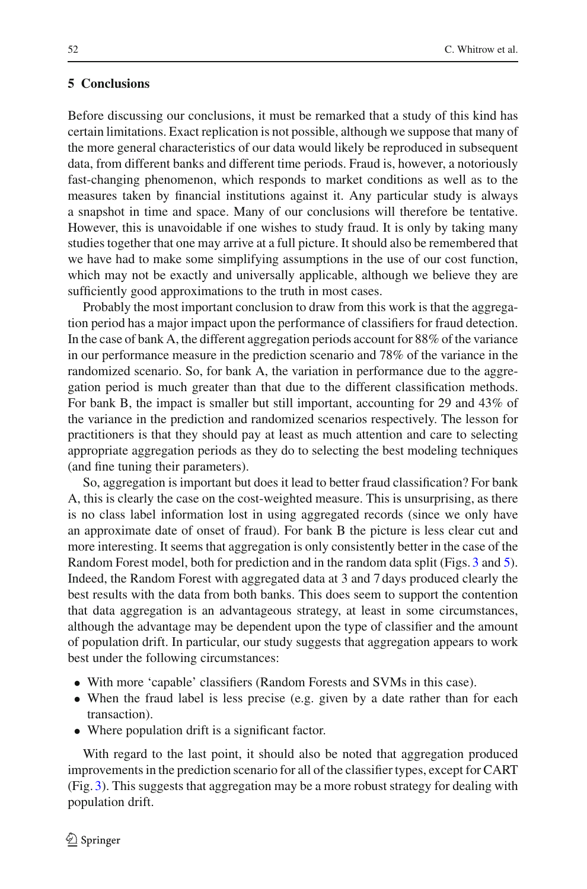# **5 Conclusions**

Before discussing our conclusions, it must be remarked that a study of this kind has certain limitations. Exact replication is not possible, although we suppose that many of the more general characteristics of our data would likely be reproduced in subsequent data, from different banks and different time periods. Fraud is, however, a notoriously fast-changing phenomenon, which responds to market conditions as well as to the measures taken by financial institutions against it. Any particular study is always a snapshot in time and space. Many of our conclusions will therefore be tentative. However, this is unavoidable if one wishes to study fraud. It is only by taking many studies together that one may arrive at a full picture. It should also be remembered that we have had to make some simplifying assumptions in the use of our cost function, which may not be exactly and universally applicable, although we believe they are sufficiently good approximations to the truth in most cases.

Probably the most important conclusion to draw from this work is that the aggregation period has a major impact upon the performance of classifiers for fraud detection. In the case of bank A, the different aggregation periods account for 88% of the variance in our performance measure in the prediction scenario and 78% of the variance in the randomized scenario. So, for bank A, the variation in performance due to the aggregation period is much greater than that due to the different classification methods. For bank B, the impact is smaller but still important, accounting for 29 and 43% of the variance in the prediction and randomized scenarios respectively. The lesson for practitioners is that they should pay at least as much attention and care to selecting appropriate aggregation periods as they do to selecting the best modeling techniques (and fine tuning their parameters).

So, aggregation is important but does it lead to better fraud classification? For bank A, this is clearly the case on the cost-weighted measure. This is unsurprising, as there is no class label information lost in using aggregated records (since we only have an approximate date of onset of fraud). For bank B the picture is less clear cut and more interesting. It seems that aggregation is only consistently better in the case of the Random Forest model, both for prediction and in the random data split (Figs. [3](#page-16-1) and [5\)](#page-18-0). Indeed, the Random Forest with aggregated data at 3 and 7 days produced clearly the best results with the data from both banks. This does seem to support the contention that data aggregation is an advantageous strategy, at least in some circumstances, although the advantage may be dependent upon the type of classifier and the amount of population drift. In particular, our study suggests that aggregation appears to work best under the following circumstances:

- With more 'capable' classifiers (Random Forests and SVMs in this case).
- When the fraud label is less precise (e.g. given by a date rather than for each transaction).
- Where population drift is a significant factor.

With regard to the last point, it should also be noted that aggregation produced improvements in the prediction scenario for all of the classifier types, except for CART (Fig. [3\)](#page-16-1). This suggests that aggregation may be a more robust strategy for dealing with population drift.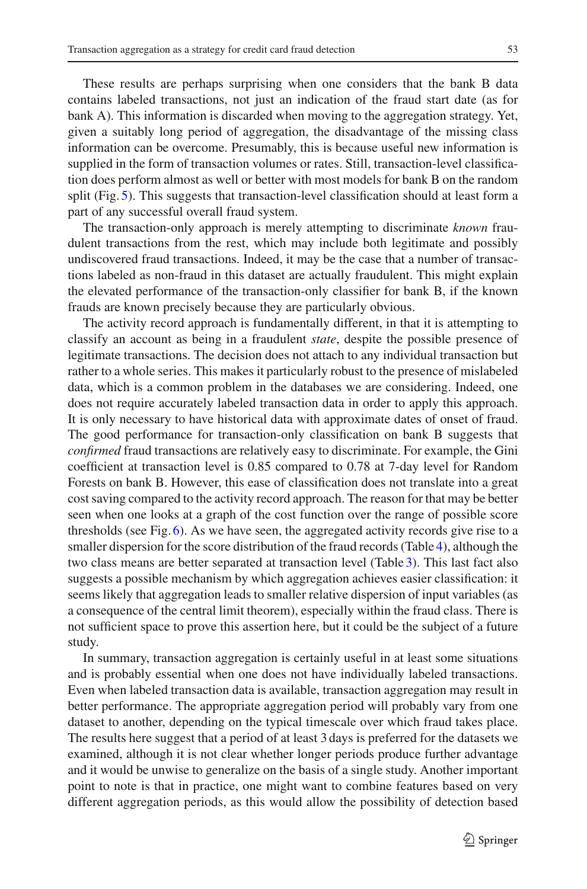These results are perhaps surprising when one considers that the bank B data contains labeled transactions, not just an indication of the fraud start date (as for bank A). This information is discarded when moving to the aggregation strategy. Yet, given a suitably long period of aggregation, the disadvantage of the missing class information can be overcome. Presumably, this is because useful new information is supplied in the form of transaction volumes or rates. Still, transaction-level classification does perform almost as well or better with most models for bank B on the random split (Fig. [5\)](#page-18-0). This suggests that transaction-level classification should at least form a part of any successful overall fraud system.

The transaction-only approach is merely attempting to discriminate *known* fraudulent transactions from the rest, which may include both legitimate and possibly undiscovered fraud transactions. Indeed, it may be the case that a number of transactions labeled as non-fraud in this dataset are actually fraudulent. This might explain the elevated performance of the transaction-only classifier for bank B, if the known frauds are known precisely because they are particularly obvious.

The activity record approach is fundamentally different, in that it is attempting to classify an account as being in a fraudulent *state*, despite the possible presence of legitimate transactions. The decision does not attach to any individual transaction but rather to a whole series. This makes it particularly robust to the presence of mislabeled data, which is a common problem in the databases we are considering. Indeed, one does not require accurately labeled transaction data in order to apply this approach. It is only necessary to have historical data with approximate dates of onset of fraud. The good performance for transaction-only classification on bank B suggests that *confirmed* fraud transactions are relatively easy to discriminate. For example, the Gini coefficient at transaction level is 0.85 compared to 0.78 at 7-day level for Random Forests on bank B. However, this ease of classification does not translate into a great cost saving compared to the activity record approach. The reason for that may be better seen when one looks at a graph of the cost function over the range of possible score thresholds (see Fig.  $6$ ). As we have seen, the aggregated activity records give rise to a smaller dispersion for the score distribution of the fraud records (Table [4\)](#page-19-1), although the two class means are better separated at transaction level (Table [3\)](#page-19-0). This last fact also suggests a possible mechanism by which aggregation achieves easier classification: it seems likely that aggregation leads to smaller relative dispersion of input variables (as a consequence of the central limit theorem), especially within the fraud class. There is not sufficient space to prove this assertion here, but it could be the subject of a future study.

In summary, transaction aggregation is certainly useful in at least some situations and is probably essential when one does not have individually labeled transactions. Even when labeled transaction data is available, transaction aggregation may result in better performance. The appropriate aggregation period will probably vary from one dataset to another, depending on the typical timescale over which fraud takes place. The results here suggest that a period of at least 3 days is preferred for the datasets we examined, although it is not clear whether longer periods produce further advantage and it would be unwise to generalize on the basis of a single study. Another important point to note is that in practice, one might want to combine features based on very different aggregation periods, as this would allow the possibility of detection based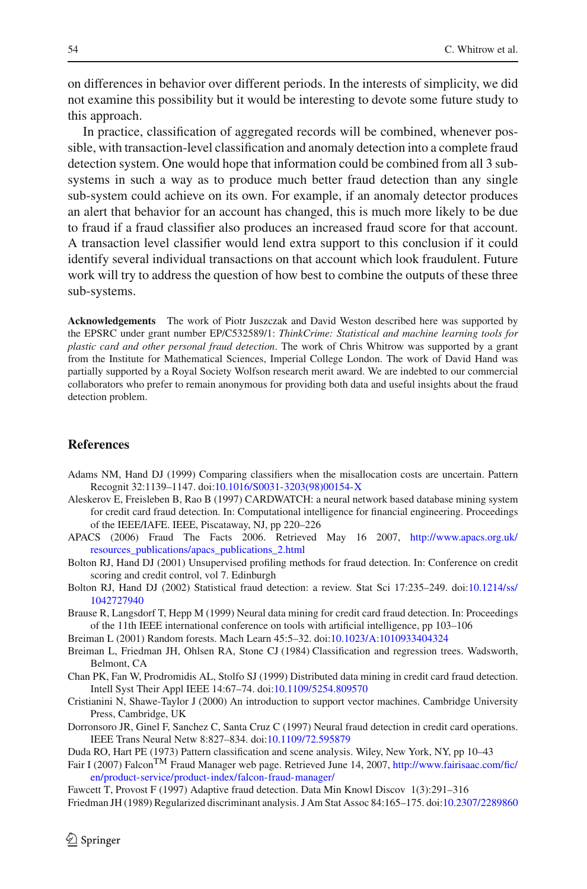on differences in behavior over different periods. In the interests of simplicity, we did not examine this possibility but it would be interesting to devote some future study to this approach.

In practice, classification of aggregated records will be combined, whenever possible, with transaction-level classification and anomaly detection into a complete fraud detection system. One would hope that information could be combined from all 3 subsystems in such a way as to produce much better fraud detection than any single sub-system could achieve on its own. For example, if an anomaly detector produces an alert that behavior for an account has changed, this is much more likely to be due to fraud if a fraud classifier also produces an increased fraud score for that account. A transaction level classifier would lend extra support to this conclusion if it could identify several individual transactions on that account which look fraudulent. Future work will try to address the question of how best to combine the outputs of these three sub-systems.

**Acknowledgements** The work of Piotr Juszczak and David Weston described here was supported by the EPSRC under grant number EP/C532589/1: *ThinkCrime: Statistical and machine learning tools for plastic card and other personal fraud detection*. The work of Chris Whitrow was supported by a grant from the Institute for Mathematical Sciences, Imperial College London. The work of David Hand was partially supported by a Royal Society Wolfson research merit award. We are indebted to our commercial collaborators who prefer to remain anonymous for providing both data and useful insights about the fraud detection problem.

## **References**

- <span id="page-24-14"></span>Adams NM, Hand DJ (1999) Comparing classifiers when the misallocation costs are uncertain. Pattern Recognit 32:1139–1147. doi[:10.1016/S0031-3203\(98\)00154-X](http://dx.doi.org/10.1016/S0031-3203(98)00154-X)
- <span id="page-24-6"></span>Aleskerov E, Freisleben B, Rao B (1997) CARDWATCH: a neural network based database mining system for credit card fraud detection. In: Computational intelligence for financial engineering. Proceedings of the IEEE/IAFE. IEEE, Piscataway, NJ, pp 220–226
- <span id="page-24-13"></span>APACS (2006) Fraud The Facts 2006. Retrieved May 16 2007, [http://www.apacs.org.uk/](http://www.apacs.org.uk/resources_publications/apacs_publications_2.html) [resources\\_publications/apacs\\_publications\\_2.html](http://www.apacs.org.uk/resources_publications/apacs_publications_2.html)
- <span id="page-24-1"></span>Bolton RJ, Hand DJ (2001) Unsupervised profiling methods for fraud detection. In: Conference on credit scoring and credit control, vol 7. Edinburgh
- <span id="page-24-3"></span>Bolton RJ, Hand DJ (2002) Statistical fraud detection: a review. Stat Sci 17:235–249. doi[:10.1214/ss/](http://dx.doi.org/10.1214/ss/1042727940) [1042727940](http://dx.doi.org/10.1214/ss/1042727940)
- <span id="page-24-7"></span>Brause R, Langsdorf T, Hepp M (1999) Neural data mining for credit card fraud detection. In: Proceedings of the 11th IEEE international conference on tools with artificial intelligence, pp 103–106
- <span id="page-24-9"></span>Breiman L (2001) Random forests. Mach Learn 45:5–32. doi[:10.1023/A:1010933404324](http://dx.doi.org/10.1023/A:1010933404324)
- <span id="page-24-12"></span>Breiman L, Friedman JH, Ohlsen RA, Stone CJ (1984) Classification and regression trees. Wadsworth, Belmont, CA
- <span id="page-24-4"></span>Chan PK, Fan W, Prodromidis AL, Stolfo SJ (1999) Distributed data mining in credit card fraud detection. Intell Syst Their Appl IEEE 14:67–74. doi[:10.1109/5254.809570](http://dx.doi.org/10.1109/5254.809570)
- <span id="page-24-8"></span>Cristianini N, Shawe-Taylor J (2000) An introduction to support vector machines. Cambridge University Press, Cambridge, UK
- <span id="page-24-5"></span>Dorronsoro JR, Ginel F, Sanchez C, Santa Cruz C (1997) Neural fraud detection in credit card operations. IEEE Trans Neural Netw 8:827–834. doi[:10.1109/72.595879](http://dx.doi.org/10.1109/72.595879)
- <span id="page-24-11"></span>Duda RO, Hart PE (1973) Pattern classification and scene analysis. Wiley, New York, NY, pp 10–43
- <span id="page-24-2"></span>Fair I (2007) Falcon<sup>TM</sup> Fraud Manager web page. Retrieved June 14, 2007, [http://www.fairisaac.com/fic/](http://www.fairisaac.com/fic/en/product-service/product-index/falcon-fraud-manager/) [en/product-service/product-index/falcon-fraud-manager/](http://www.fairisaac.com/fic/en/product-service/product-index/falcon-fraud-manager/)
- <span id="page-24-0"></span>Fawcett T, Provost F (1997) Adaptive fraud detection. Data Min Knowl Discov 1(3):291–316

<span id="page-24-10"></span>Friedman JH (1989) Regularized discriminant analysis. J Am Stat Assoc 84:165–175. doi[:10.2307/2289860](http://dx.doi.org/10.2307/2289860)